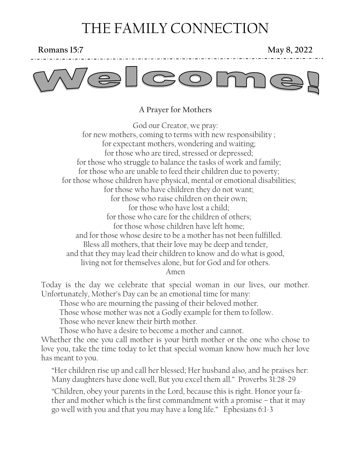# THE FAMILY CONNECTION

#### **Romans 15:7** May 8, 2022



#### **A Prayer for Mothers**

God our Creator, we pray: for new mothers, coming to terms with new responsibility ; for expectant mothers, wondering and waiting; for those who are tired, stressed or depressed; for those who struggle to balance the tasks of work and family; for those who are unable to feed their children due to poverty; for those whose children have physical, mental or emotional disabilities; for those who have children they do not want; for those who raise children on their own; for those who have lost a child; for those who care for the children of others; for those whose children have left home; and for those whose desire to be a mother has not been fulfilled. Bless all mothers, that their love may be deep and tender, and that they may lead their children to know and do what is good, living not for themselves alone, but for God and for others. Amen

Today is the day we celebrate that special woman in our lives, our mother. Unfortunately, Mother's Day can be an emotional time for many:

Those who are mourning the passing of their beloved mother.

Those whose mother was not a Godly example for them to follow.

Those who never knew their birth mother.

Those who have a desire to become a mother and cannot.

Whether the one you call mother is your birth mother or the one who chose to love you, take the time today to let that special woman know how much her love has meant to you.

"Her children rise up and call her blessed; Her husband also, and he praises her: Many daughters have done well, But you excel them all." Proverbs 31:28-29

"Children, obey your parents in the Lord, because this is right. Honor your father and mother which is the first commandment with a promise – that it may go well with you and that you may have a long life." Ephesians 6:1-3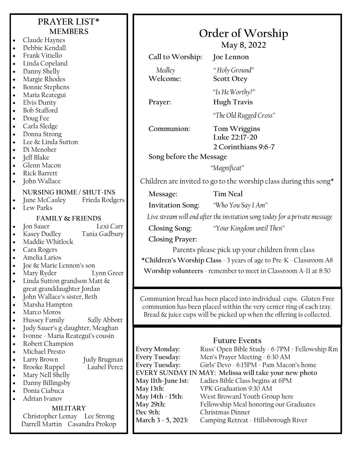## **PRAYER LIST\* MEMBERS**

- Claude Haynes
- Debbie Kendall
- Frank Vitiello
- Linda Copeland
- Danny Shelly
- Margie Rhodes
- Bonnie Stephens
- Maria Reategui
- Elvis Durity
- Bob Stafford
- Doug Fee
- Carla Sledge
- Donna Strong
- Lee & Linda Sutton
- Di Menoher
- Jeff Blake
- Glenn Macon
- Rick Barrett
- John Wallace

#### **NURSING HOME / SHUT-INS**

- June McCauley Frieda Rodgers
- Lew Parks

#### **FAMILY & FRIENDS**

• Jon Sauer Lexi Carr

- Kasey Dudley Tania Gadbury
- Maddie Whitlock
- Cara Rogers
- Amelia Larios
- Joe & Marie Lennon's son
- Mary Ryder Lynn Greer
- Linda Sutton grandson Matt & great granddaughter Jordan
- John Wallace's sister, Beth
- Marsha Hampton
- Marco Moros
- Hussey Family Sally Abbott
- Judy Sauer's g-daughter, Meaghan
- Ivonne Maria Reategui's cousin
- Robert Champion
- Michael Presto
- - Larry Brown Judy Brugman
- **Brooke Ruppel**
- Mary Nell Shelly
- Danny Billingsby • Donia Ciabuca
- Adrian Ivanov

#### **MILITARY**

Christopher Lemay Lee Strong Darrell Martin Casandra Prokop

|  | Order of Worship |
|--|------------------|
|--|------------------|

**May 8, 2022**

**Call to Worship: Joe Lennon**

*Medley " Holy Ground"* **Welcome: Scott Otey**

*"Is He Worthy?"* **Prayer: Hugh Travis**

*"The Old Rugged Cross"*

**Communion: Tom Wriggins**

**Luke 22:17-20 2 Corinthians 9:6-7**

**Song before the Message**

*"Magnificat"*

Children are invited to go to the worship class during this song $*$ 

**Message: Tim Neal**

**Invitation Song:** *"Who You Say I Am"*

*Live stream will end after the invitation song today for a private message*

**Closing Song:** *"Your Kingdom until Then"*

**Closing Prayer:**

Parents please pick up your children from class **\*Children's Worship Class** - 3 years of age to Pre-K - Classroom A8

**Worship volunteers** - remember to meet in Classroom A-11 at 8:50

Communion bread has been placed into individual cups. Gluten Free communion has been placed within the very center ring of each tray. Bread & juice cups will be picked up when the offering is collected.

#### **Future Events**

**Every Monday:** Russ' Open Bible Study - 6-7PM - Fellowship Rm **Every Tuesday:** Men's Prayer Meeting - 6:30 AM **Every Tuesday:** Girls' Devo - 6:15PM - Pam Macon's home **EVERY SUNDAY IN MAY: Melissa will take your new photo May 11th-June 1st:** Ladies Bible Class begins at 6PM **May 13th:** VPK Graduation 9:30 AM **May 14th - 15th:** West Broward Youth Group here May 29th: Fellowship Meal honoring our Graduates<br>Dec 9th: Christmas Dinner **Dec 9th:** Christmas Dinner **March 3 - 5, 2023:** Camping Retreat - Hillsborough River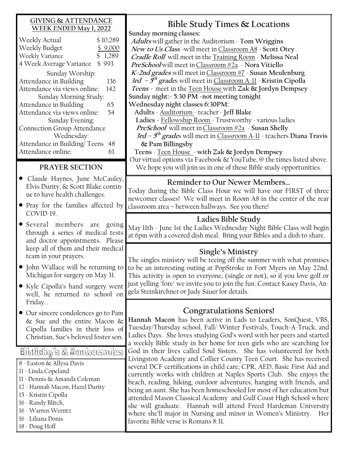#### **GIVING & ATTENDANCE WEEK ENDED May 1, 2022**

| Weekly Actual                | \$10,289    |  |
|------------------------------|-------------|--|
| Weekly Budget                | \$9,000     |  |
| Weekly Variance              | 1,289<br>\$ |  |
| 4 Week Average Variance      | \$993       |  |
| Sunday Worship:              |             |  |
| Attendance in Building       | 136         |  |
| Attendance via views online: | 142         |  |
| Sunday Morning Study:        |             |  |
| Attendance in Building       | 65          |  |
| Attendance via views online: | 54          |  |
| Sunday Evening:              |             |  |
| Connection Group Attendance  |             |  |
| Wednesday:                   |             |  |
| Attendance in Building/Teens | 48          |  |
| Attendance online:           | 61          |  |
|                              |             |  |

#### **PRAYER SECTION**

- Claude Haynes, June McCauley, Elvis Durity, & Scott Blake continue to have health challenges.
- Pray for the families affected by COVID-19.
- Several members are going through a series of medical tests and doctor appointments. Please keep all of them and their medical team in your prayers.
- John Wallace will be returning to Michigan for surgery on May 31.
- Kyle Cipolla's hand surgery went well, he returned to school on Friday. .
- Our sincere condolences go to Pam & Sue and the entire Macon & Cipolla families in their loss of Christian, Sue's beloved foster son.

### Birthday's & Anniversaries

- 8 Easton & Allysa Davis 11 - Linda Copeland 11 - Dennis & Amanda Coleman
- 12 Hannah Macon, Hazel Durity
- 15 Kristin Cipolla
- 16 Randy Blitch,
- 16 Warren Werntz
- 16 Liliana Donis
- 18 Doug Hoff

**Bible Study Times & Locations Sunday morning classes: Adults** will gather in the Auditorium - **Tom Wriggins New to Us Class -**will meet in Classroom A8 - **Scott Otey Cradle Roll** will meet in the Training Room - **Melissa Neal PreSchool** will meet inClassroom #2a - **Nora Vitiello K-2nd grades** will meet inClassroom #7 - **Susan Meulenburg 3rd – 5 th grade**s will meet in Classroom A-11 - **Kristin Cipolla Teens -** meet in the Teen House with **Zak & Jordyn Dempsey Sunday night:- 5:30 PM -not meeting tonight Wednesday night classes 6:30PM: Adults** - Auditorium - teacher - **Jeff Blake Ladies -** Fellowship Room - Trustworthy - various ladies **PreSchool** will meet inClassroom #2a - **Susan Shelly 3rd – 5 th grade**s will meet in Classroom A-11 - teachers **Diana Travis & Pam Billingsby Teens** - Teen House - **with Zak & Jordyn Dempsey** Our virtual options via Facebook & YouTube, @ the times listed above. We hope you will join us in one of these Bible study opportunities. **Ladies Bible Study** May 11th - June 1st the Ladies Wednesday Night Bible Class will begin at 6pm with a covered dish meal. Bring your Bibles and a dish to share. **Reminder to Our Newer Members…** Today during the Bible Class Hour we will have our FIRST of three newcomer classes! We will meet in Room A8 in the center of the rear classroom area – between hallways. See you there! **Single's Ministry** The singles ministry will be teeing off the summer with what promises to be an interesting outing at PopStroke in Fort Myers on May 22nd. This activity is open to everyone, (single or not), so if you love golf or just yelling "fore" we invite you to join the fun. Contact Kasey Davis, Angela Steinkirchner or Judy Sauer for details.

### **Congratulations Seniors!**

**Hannah Macon** has been active in Lads to Leaders, SonQuest, VBS, Tuesday/Thursday school, Fall/ Winter Festivals, Touch-A-Truck, and Ladies Days. She loves studying God's word with her peers and started a weekly Bible study in her home for teen girls who are searching for God in their lives called Soul Sisters. She has volunteered for both Livingston Academy and Collier County Teen Court. She has received several DCF certifications in child care; CPR, AED, Basic First Aid and currently works with children at Naples Sports Club. She enjoys the beach, reading, hiking, outdoor adventures, hanging with friends, and being an aunt. She has been homeschooled for most of her education but attended Mason Classical Academy and Gulf Coast High School where she will graduate. Hannah will attend Freed Hardeman University where she'll major in Nursing and minor in Women's Ministry. Her favorite Bible verse is Romans 8:31.